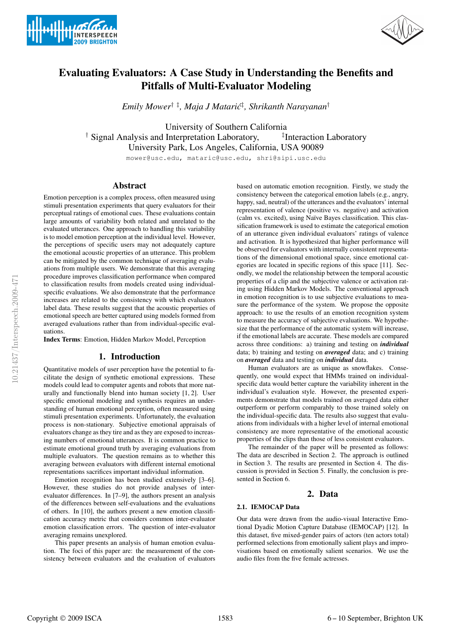



# Evaluating Evaluators: A Case Study in Understanding the Benefits and Pitfalls of Multi-Evaluator Modeling

*Emily Mower*† ‡*, Maja J Mataric´* ‡ *, Shrikanth Narayanan*†

University of Southern California  $\dagger$  Signal Analysis and Interpretation Laboratory, <sup>‡</sup>Interaction Laboratory University Park, Los Angeles, California, USA 90089

mower@usc.edu, mataric@usc.edu, shri@sipi.usc.edu

# Abstract

Emotion perception is a complex process, often measured using stimuli presentation experiments that query evaluators for their perceptual ratings of emotional cues. These evaluations contain large amounts of variability both related and unrelated to the evaluated utterances. One approach to handling this variability is to model emotion perception at the individual level. However, the perceptions of specific users may not adequately capture the emotional acoustic properties of an utterance. This problem can be mitigated by the common technique of averaging evaluations from multiple users. We demonstrate that this averaging procedure improves classification performance when compared to classification results from models created using individualspecific evaluations. We also demonstrate that the performance increases are related to the consistency with which evaluators label data. These results suggest that the acoustic properties of emotional speech are better captured using models formed from averaged evaluations rather than from individual-specific evaluations.

Index Terms: Emotion, Hidden Markov Model, Perception

# 1. Introduction

Quantitative models of user perception have the potential to facilitate the design of synthetic emotional expressions. These models could lead to computer agents and robots that more naturally and functionally blend into human society [1, 2]. User specific emotional modeling and synthesis requires an understanding of human emotional perception, often measured using stimuli presentation experiments. Unfortunately, the evaluation process is non-stationary. Subjective emotional appraisals of evaluators change as they tire and as they are exposed to increasing numbers of emotional utterances. It is common practice to estimate emotional ground truth by averaging evaluations from multiple evaluators. The question remains as to whether this averaging between evaluators with different internal emotional representations sacrifices important individual information.

Emotion recognition has been studied extensively [3–6]. However, these studies do not provide analyses of interevaluator differences. In [7–9], the authors present an analysis of the differences between self-evaluations and the evaluations of others. In [10], the authors present a new emotion classification accuracy metric that considers common inter-evaluator emotion classification errors. The question of inter-evaluator averaging remains unexplored.

This paper presents an analysis of human emotion evaluation. The foci of this paper are: the measurement of the consistency between evaluators and the evaluation of evaluators based on automatic emotion recognition. Firstly, we study the consistency between the categorical emotion labels (e.g., angry, happy, sad, neutral) of the utterances and the evaluators' internal representation of valence (positive vs. negative) and activation (calm vs. excited), using Na¨ıve Bayes classification. This classification framework is used to estimate the categorical emotion of an utterance given individual evaluators' ratings of valence and activation. It is hypothesized that higher performance will be observed for evaluators with internally consistent representations of the dimensional emotional space, since emotional categories are located in specific regions of this space [11]. Secondly, we model the relationship between the temporal acoustic properties of a clip and the subjective valence or activation rating using Hidden Markov Models. The conventional approach in emotion recognition is to use subjective evaluations to measure the performance of the system. We propose the opposite approach: to use the results of an emotion recognition system to measure the accuracy of subjective evaluations. We hypothesize that the performance of the automatic system will increase, if the emotional labels are accurate. These models are compared across three conditions: a) training and testing on *individual* data; b) training and testing on *averaged* data; and c) training on *averaged* data and testing on *individual* data.

Human evaluators are as unique as snowflakes. Consequently, one would expect that HMMs trained on individualspecific data would better capture the variability inherent in the individual's evaluation style. However, the presented experiments demonstrate that models trained on averaged data either outperform or perform comparably to those trained solely on the individual-specific data. The results also suggest that evaluations from individuals with a higher level of internal emotional consistency are more representative of the emotional acoustic properties of the clips than those of less consistent evaluators.

The remainder of the paper will be presented as follows: The data are described in Section 2. The approach is outlined in Section 3. The results are presented in Section 4. The discussion is provided in Section 5. Finally, the conclusion is presented in Section 6.

# 2. Data

#### 2.1. IEMOCAP Data

Our data were drawn from the audio-visual Interactive Emotional Dyadic Motion Capture Database (IEMOCAP) [12]. In this dataset, five mixed-gender pairs of actors (ten actors total) performed selections from emotionally salient plays and improvisations based on emotionally salient scenarios. We use the audio files from the five female actresses.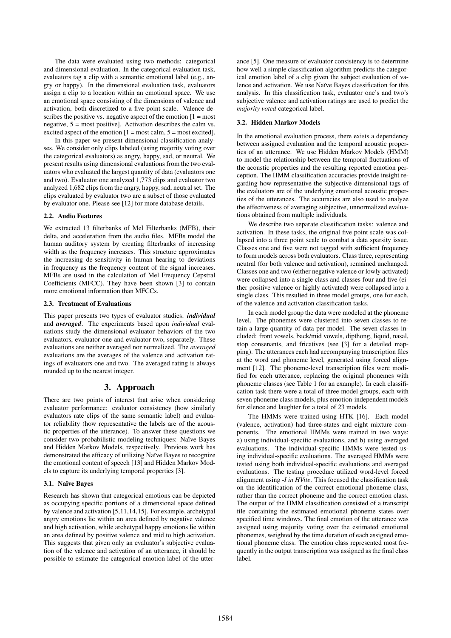The data were evaluated using two methods: categorical and dimensional evaluation. In the categorical evaluation task, evaluators tag a clip with a semantic emotional label (e.g., angry or happy). In the dimensional evaluation task, evaluators assign a clip to a location within an emotional space. We use an emotional space consisting of the dimensions of valence and activation, both discretized to a five-point scale. Valence describes the positive vs. negative aspect of the emotion  $[1 = \text{most}]$ negative,  $5 = \text{most positive}$ . Activation describes the calm vs. excited aspect of the emotion  $[1 = \text{most calm}, 5 = \text{most excited}]$ .

In this paper we present dimensional classification analyses. We consider only clips labeled (using majority voting over the categorical evaluators) as angry, happy, sad, or neutral. We present results using dimensional evaluations from the two evaluators who evaluated the largest quantity of data (evaluators one and two). Evaluator one analyzed 1,773 clips and evaluator two analyzed 1,682 clips from the angry, happy, sad, neutral set. The clips evaluated by evaluator two are a subset of those evaluated by evaluator one. Please see [12] for more database details.

## 2.2. Audio Features

We extracted 13 filterbanks of Mel Filterbanks (MFB), their delta, and acceleration from the audio files. MFBs model the human auditory system by creating filterbanks of increasing width as the frequency increases. This structure approximates the increasing de-sensitivity in human hearing to deviations in frequency as the frequency content of the signal increases. MFBs are used in the calculation of Mel Frequency Cepstral Coefficients (MFCC). They have been shown [3] to contain more emotional information than MFCCs.

## 2.3. Treatment of Evaluations

This paper presents two types of evaluator studies: *individual* and *averaged*. The experiments based upon *individual* evaluations study the dimensional evaluator behaviors of the two evaluators, evaluator one and evaluator two, separately. These evaluations are neither averaged nor normalized. The *averaged* evaluations are the averages of the valence and activation ratings of evaluators one and two. The averaged rating is always rounded up to the nearest integer.

# 3. Approach

There are two points of interest that arise when considering evaluator performance: evaluator consistency (how similarly evaluators rate clips of the same semantic label) and evaluator reliability (how representative the labels are of the acoustic properties of the utterance). To answer these questions we consider two probabilistic modeling techniques: Naïve Bayes and Hidden Markov Models, respectively. Previous work has demonstrated the efficacy of utilizing Naïve Bayes to recognize the emotional content of speech [13] and Hidden Markov Models to capture its underlying temporal properties [3].

## 3.1. Naïve Bayes

Research has shown that categorical emotions can be depicted as occupying specific portions of a dimensional space defined by valence and activation [5,11,14,15]. For example, archetypal angry emotions lie within an area defined by negative valence and high activation, while archetypal happy emotions lie within an area defined by positive valence and mid to high activation. This suggests that given only an evaluator's subjective evaluation of the valence and activation of an utterance, it should be possible to estimate the categorical emotion label of the utter-

ance [5]. One measure of evaluator consistency is to determine how well a simple classification algorithm predicts the categorical emotion label of a clip given the subject evaluation of valence and activation. We use Naïve Bayes classification for this analysis. In this classification task, evaluator one's and two's subjective valence and activation ratings are used to predict the *majority voted* categorical label.

## 3.2. Hidden Markov Models

In the emotional evaluation process, there exists a dependency between assigned evaluation and the temporal acoustic properties of an utterance. We use Hidden Markov Models (HMM) to model the relationship between the temporal fluctuations of the acoustic properties and the resulting reported emotion perception. The HMM classification accuracies provide insight regarding how representative the subjective dimensional tags of the evaluators are of the underlying emotional acoustic properties of the utterances. The accuracies are also used to analyze the effectiveness of averaging subjective, unnormalized evaluations obtained from multiple individuals.

We describe two separate classification tasks: valence and activation. In these tasks, the original five point scale was collapsed into a three point scale to combat a data sparsity issue. Classes one and five were not tagged with sufficient frequency to form models across both evaluators. Class three, representing neutral (for both valence and activation), remained unchanged. Classes one and two (either negative valence or lowly activated) were collapsed into a single class and classes four and five (either positive valence or highly activated) were collapsed into a single class. This resulted in three model groups, one for each, of the valence and activation classification tasks.

In each model group the data were modeled at the phoneme level. The phonemes were clustered into seven classes to retain a large quantity of data per model. The seven classes included: front vowels, back/mid vowels, dipthong, liquid, nasal, stop consenants, and fricatives (see [3] for a detailed mapping). The utterances each had accompanying transcription files at the word and phoneme level, generated using forced alignment [12]. The phoneme-level transcription files were modified for each utterance, replacing the original phonemes with phoneme classes (see Table 1 for an example). In each classification task there were a total of three model groups, each with seven phoneme class models, plus emotion-independent models for silence and laughter for a total of 23 models.

The HMMs were trained using HTK [16]. Each model (valence, activation) had three-states and eight mixture components. The emotional HMMs were trained in two ways: a) using individual-specific evaluations, and b) using averaged evaluations. The individual-specific HMMs were tested using individual-specific evaluations. The averaged HMMs were tested using both individual-specific evaluations and averaged evaluations. The testing procedure utilized word-level forced alignment using *-I in HVite*. This focused the classification task on the identification of the correct emotional phoneme class, rather than the correct phoneme and the correct emotion class. The output of the HMM classification consisted of a transcript file containing the estimated emotional phoneme states over specified time windows. The final emotion of the utterance was assigned using majority voting over the estimated emotional phonemes, weighted by the time duration of each assigned emotional phoneme class. The emotion class represented most frequently in the output transcription was assigned as the final class label.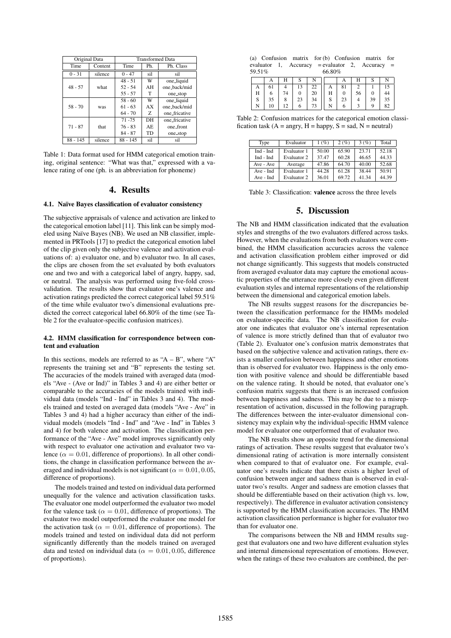| Original Data         |         | <b>Transformed Data</b> |           |               |  |  |  |
|-----------------------|---------|-------------------------|-----------|---------------|--|--|--|
| Time<br>Content       |         | Time                    | Ph.       | Ph. Class     |  |  |  |
| $0 - 31$              | silence | $0 - 47$                | sil       | si1           |  |  |  |
|                       |         | $48 - 51$               | W         | one_liquid    |  |  |  |
| $48 - 57$             | what    | $52 - 54$               | AH        | one_back/mid  |  |  |  |
|                       |         | $55 - 57$               | T         | one_stop      |  |  |  |
|                       | was     | $58 - 60$               | W         | one_liquid    |  |  |  |
| $58 - 70$             |         | $61 - 63$               | AX        | one_back/mid  |  |  |  |
|                       |         | $64 - 70$               | Z.        | one_fricative |  |  |  |
|                       |         | $71 - 75$               | DH        | one_fricative |  |  |  |
| $71 - 87$             | that    | $76 - 83$               | AE.       | one_front     |  |  |  |
|                       |         | $84 - 87$               | <b>TD</b> | one_stop      |  |  |  |
| $88 - 145$<br>silence |         | $88 - 145$              | sil       | sil           |  |  |  |

Table 1: Data format used for HMM categorical emotion training, original sentence: "What was that," expressed with a valence rating of one (ph. is an abbreviation for phoneme)

# 4. Results

### 4.1. Naïve Bayes classification of evaluator consistency

The subjective appraisals of valence and activation are linked to the categorical emotion label [11]. This link can be simply modeled using Naïve Bayes (NB). We used an NB classifier, implemented in PRTools [17] to predict the categorical emotion label of the clip given only the subjective valence and activation evaluations of: a) evaluator one, and b) evaluator two. In all cases, the clips are chosen from the set evaluated by both evaluators one and two and with a categorical label of angry, happy, sad, or neutral. The analysis was performed using five-fold crossvalidation. The results show that evaluator one's valence and activation ratings predicted the correct categorical label 59.51% of the time while evaluator two's dimensional evaluations predicted the correct categorical label 66.80% of the time (see Table 2 for the evaluator-specific confusion matrices).

### 4.2. HMM classification for correspondence between content and evaluation

In this sections, models are referred to as " $A - B$ ", where "A" represents the training set and "B" represents the testing set. The accuracies of the models trained with averaged data (models "Ave - (Ave or Ind)" in Tables 3 and 4) are either better or comparable to the accuracies of the models trained with individual data (models "Ind - Ind" in Tables 3 and 4). The models trained and tested on averaged data (models "Ave - Ave" in Tables 3 and 4) had a higher accuracy than either of the individual models (models "Ind - Ind" and "Ave - Ind" in Tables 3 and 4) for both valence and activation. The classification performance of the "Ave - Ave" model improves significantly only with respect to evaluator one activation and evaluator two valence ( $\alpha = 0.01$ , difference of proportions). In all other conditions, the change in classification performance between the averaged and individual models is not significant ( $\alpha = 0.01, 0.05$ , difference of proportions).

The models trained and tested on individual data performed unequally for the valence and activation classification tasks. The evaluator one model outperformed the evaluator two model for the valence task ( $\alpha = 0.01$ , difference of proportions). The evaluator two model outperformed the evaluator one model for the activation task ( $\alpha = 0.01$ , difference of proportions). The models trained and tested on individual data did not perform significantly differently than the models trained on averaged data and tested on individual data ( $\alpha = 0.01, 0.05$ , difference of proportions).

|        |  |        |  | (a) Confusion matrix for (b) Confusion matrix for |  |
|--------|--|--------|--|---------------------------------------------------|--|
| 59.51% |  | 66.80% |  | evaluator 1, Accuracy = evaluator 2, Accuracy =   |  |

| Н      |    | 74 | 20 | Η                 | 56 |          |
|--------|----|----|----|-------------------|----|----------|
| c<br>Ω | 35 |    | 34 | $\mathbf{C}$<br>ື |    | 25<br>33 |
|        | 10 |    | 73 |                   |    |          |

Table 2: Confusion matrices for the categorical emotion classification task ( $A =$ angry,  $H =$ happy,  $S =$ sad,  $N =$ neutral)

| Type      | Evaluator   | 1(%)  | 2(%)  | 3(%)  | Total |
|-----------|-------------|-------|-------|-------|-------|
| Ind - Ind | Evaluator 1 | 50.00 | 65.90 | 23.71 | 52.18 |
| Ind - Ind | Evaluator 2 | 37.47 | 60.28 | 46.65 | 44.33 |
| Ave - Ave | Average     | 47.86 | 64.70 | 40.00 | 52.68 |
| Ave - Ind | Evaluator 1 | 44.28 | 61.28 | 38.44 | 50.91 |
| Ave - Ind | Evaluator 2 | 36.01 | 69.72 | 41.34 | 44.39 |

Table 3: Classification: valence across the three levels

# 5. Discussion

The NB and HMM classification indicated that the evaluation styles and strengths of the two evaluators differed across tasks. However, when the evaluations from both evaluators were combined, the HMM classification accuracies across the valence and activation classification problem either improved or did not change significantly. This suggests that models constructed from averaged evaluator data may capture the emotional acoustic properties of the utterance more closely even given different evaluation styles and internal representations of the relationship between the dimensional and categorical emotion labels.

The NB results suggest reasons for the discrepancies between the classification performance for the HMMs modeled on evaluator-specific data. The NB classification for evaluator one indicates that evaluator one's internal representation of valence is more strictly defined than that of evaluator two (Table 2). Evaluator one's confusion matrix demonstrates that based on the subjective valence and activation ratings, there exists a smaller confusion between happiness and other emotions than is observed for evaluator two. Happiness is the only emotion with positive valence and should be differentiable based on the valence rating. It should be noted, that evaluator one's confusion matrix suggests that there is an increased confusion between happiness and sadness. This may be due to a misrepresentation of activation, discussed in the following paragraph. The differences between the inter-evaluator dimensional consistency may explain why the individual-specific HMM valence model for evaluator one outperformed that of evaluator two.

The NB results show an opposite trend for the dimensional ratings of activation. These results suggest that evaluator two's dimensional rating of activation is more internally consistent when compared to that of evaluator one. For example, evaluator one's results indicate that there exists a higher level of confusion between anger and sadness than is observed in evaluator two's results. Anger and sadness are emotion classes that should be differentiable based on their activation (high vs. low, respectively). The difference in evaluator activation consistency is supported by the HMM classification accuracies. The HMM activation classification performance is higher for evaluator two than for evaluator one.

The comparisons between the NB and HMM results suggest that evaluators one and two have different evaluation styles and internal dimensional representation of emotions. However, when the ratings of these two evaluators are combined, the per-